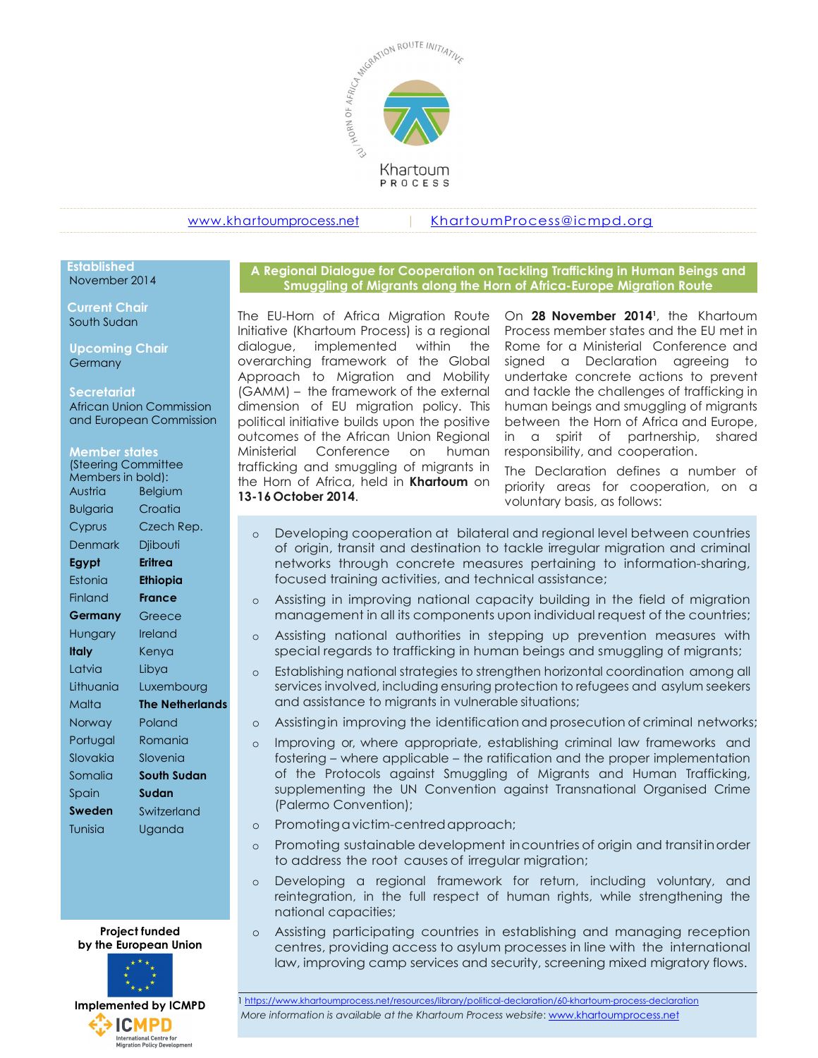

www.khartoumprocess.net | KhartoumProcess@icmpd.org

## November 2014

 Current Chair South Sudan

Upcoming Chair Germany

#### **Secretariat**

African Union Commission and European Commission

#### Member states

| (Steering Committee<br>Members in bold): |                        | trafficking an<br>the Horn of A |          |               |
|------------------------------------------|------------------------|---------------------------------|----------|---------------|
| Austria                                  | <b>Belgium</b>         |                                 |          | 13-16 October |
| <b>Bulgaria</b>                          | Croatia                |                                 |          |               |
| Cyprus                                   | Czech Rep.             |                                 | $\circ$  | Develo        |
| <b>Denmark</b>                           | Djibouti               |                                 |          | of origi      |
| Egypt                                    | Eritrea                |                                 |          | networl       |
| Estonia                                  | <b>Ethiopia</b>        |                                 |          | focused       |
| Finland                                  | <b>France</b>          |                                 | $\Omega$ | Assisting     |
| Germany                                  | Greece                 |                                 |          | manag         |
| Hungary                                  | Ireland                |                                 | $\Omega$ | Assisting     |
| Italy                                    | Kenya                  |                                 |          | special       |
| Latvia                                   | Libya                  |                                 | $\circ$  | Establish     |
| Lithuania                                | Luxembourg             |                                 |          | services      |
| Malta                                    | <b>The Netherlands</b> |                                 |          | and ass       |
| Norway                                   | Poland                 |                                 | $\circ$  | Assisting     |
| Portugal                                 | Romania                |                                 | $\circ$  | Improvi       |
| Slovakia                                 | Slovenia               |                                 |          | fostering     |
| Somalia                                  | <b>South Sudan</b>     |                                 |          | of the        |
| Spain                                    | Sudan                  |                                 |          | supplen       |
| <b>Sweden</b>                            | Switzerland            |                                 |          | (Palerm       |
| Tunisia                                  | Uganda                 |                                 | $\circ$  | Promot        |
|                                          |                        |                                 |          | Promot        |

by the European Union



A Regional Dialogue for Cooperation on Tackling Trafficking in Human Beings and Established Smuggling of Migrants along the Horn of Africa-Europe Migration Route

The EU-Horn of Africa Migration Route Initiative (Khartoum Process) is a regional dialogue, implemented within the overarching framework of the Global Approach to Migration and Mobility (GAMM) – the framework of the external dimension of EU migration policy. This political initiative builds upon the positive outcomes of the African Union Regional Ministerial Conference on human responsibility, and cooperation. (Steering Committee Trafficking and smuggling of migrants in The Declaration Members in bold):<br>the Horn of Africa, held in **Khartoum** on priority greas for The EU-Horn of Africa Migration Route On **28 November 2014'**, the Khartoum Initiative (Khartoum Process) is a regional Process member states and the EU met in dialogue, implemented within the Rome for a Ministerial Confere 13-16 October 2014.

On 28 November 2014<sup>1</sup>, the Khartoum Process member states and the EU met in Rome for a Ministerial Conference and signed a Declaration agreeing to undertake concrete actions to prevent and tackle the challenges of trafficking in human beings and smuggling of migrants between the Horn of Africa and Europe, in a spirit of partnership, shared

The Declaration defines a number of priority areas for cooperation, on a voluntary basis, as follows:

- o Developing cooperation at bilateral and regional level between countries Cyprus Czech Rep. of origin, transit and destination to tackle irregular migration and criminal Denmark Djibouti **Egypt Eritrea** entry networks through concrete measures pertaining to information-sharing, Estonia lati**niopia** este training activities, and technical assistance; Estonia Eth**iopia** Ethiopia Ethiopia Eth
- Finland France the Assisting in improving national capacity building in the field of migration **Germany** Greece component in all its components upon individual request of the countries;
- Hungary Ireland and a Assisting national authorities in stepping up prevention measures with special regards to trafficking in human beings and smuggling of migrants;
- o Establishing national strategies to strengthen horizontal coordination among all Latvia Libya services involved, including ensuring protection to refugees and asylum seekers Lithuania Luxembourg malta **The Netherlands** and assistance to migrants in vulnerable situations; Malta The Netherlands The Netherlands
- o Assisting in improving the identification and prosecution of criminal networks; Norway Poland
- Portugal Romania and o Improving or, where appropriate, establishing criminal law frameworks and fostering – where applicable – the ratification and the proper implementation Slovakia Slovenia of the Protocols against Smuggling of Migrants and Human Trafficking, Somalia South Sudan supplementing the UN Convention against Transnational Organised Crime (Palermo Convention);
- Tunisia Uganda o Promoting a victim-centred approach;
	- Promoting sustainable development in countries of origin and transit in order to address the root causes of irregular migration;
	- o Developing a regional framework for return, including voluntary, and reintegration, in the full respect of human rights, while strengthening the national capacities;
	- **Project funded Example 2** 6 Assisting participating countries in establishing and managing reception centres, providing access to asylum processes in line with the international law, improving camp services and security, screening mixed migratory flows.

1 https://www.khartoumprocess.net/resources/library/political-declaration/60-khartoum-process-declaration More information is available at the Khartoum Process website: www.khartoumprocess.net